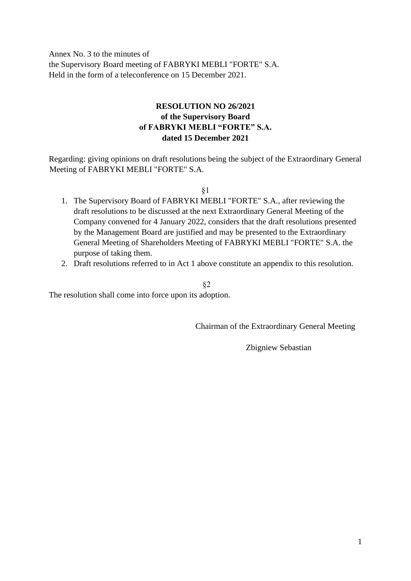Annex No. 3 to the minutes of the Supervisory Board meeting of FABRYKI MEBLI "FORTE" S.A. Held in the form of a teleconference on 15 December 2021.

### **RESOLUTION NO 26/2021 of the Supervisory Board of FABRYKI MEBLI "FORTE" S.A. dated 15 December 2021**

Regarding: giving opinions on draft resolutions being the subject of the Extraordinary General Meeting of FABRYKI MEBLI "FORTE" S.A.

§1

- 1. The Supervisory Board of FABRYKI MEBLI "FORTE" S.A., after reviewing the draft resolutions to be discussed at the next Extraordinary General Meeting of the Company convened for 4 January 2022, considers that the draft resolutions presented by the Management Board are justified and may be presented to the Extraordinary General Meeting of Shareholders Meeting of FABRYKI MEBLI "FORTE" S.A. the purpose of taking them.
- 2. Draft resolutions referred to in Act 1 above constitute an appendix to this resolution.

§2

The resolution shall come into force upon its adoption.

Chairman of the Extraordinary General Meeting

Zbigniew Sebastian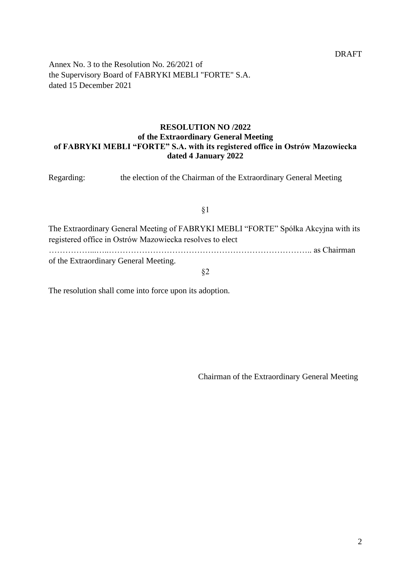Annex No. 3 to the Resolution No. 26/2021 of the Supervisory Board of FABRYKI MEBLI "FORTE" S.A. dated 15 December 2021

### **RESOLUTION NO /2022 of the Extraordinary General Meeting of FABRYKI MEBLI "FORTE" S.A. with its registered office in Ostrów Mazowiecka dated 4 January 2022**

Regarding: the election of the Chairman of the Extraordinary General Meeting

§1

The Extraordinary General Meeting of FABRYKI MEBLI "FORTE" Spółka Akcyjna with its registered office in Ostrów Mazowiecka resolves to elect ……………...…..……………………………………………………………….. as Chairman of the Extraordinary General Meeting.

§2

The resolution shall come into force upon its adoption.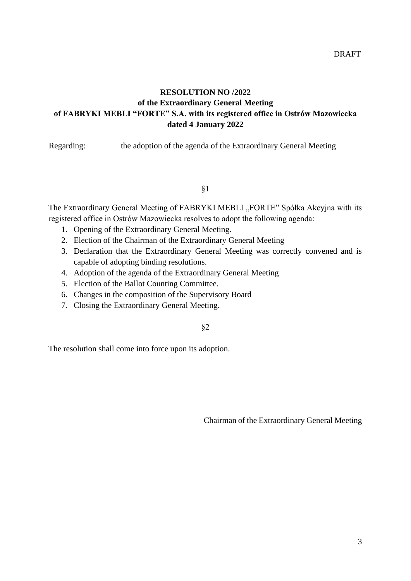# **RESOLUTION NO /2022 of the Extraordinary General Meeting of FABRYKI MEBLI "FORTE" S.A. with its registered office in Ostrów Mazowiecka dated 4 January 2022**

Regarding: the adoption of the agenda of the Extraordinary General Meeting

§1

The Extraordinary General Meeting of FABRYKI MEBLI "FORTE" Spółka Akcyjna with its registered office in Ostrów Mazowiecka resolves to adopt the following agenda:

- 1. Opening of the Extraordinary General Meeting.
- 2. Election of the Chairman of the Extraordinary General Meeting
- 3. Declaration that the Extraordinary General Meeting was correctly convened and is capable of adopting binding resolutions.
- 4. Adoption of the agenda of the Extraordinary General Meeting
- 5. Election of the Ballot Counting Committee.
- 6. Changes in the composition of the Supervisory Board
- 7. Closing the Extraordinary General Meeting.

§2

The resolution shall come into force upon its adoption.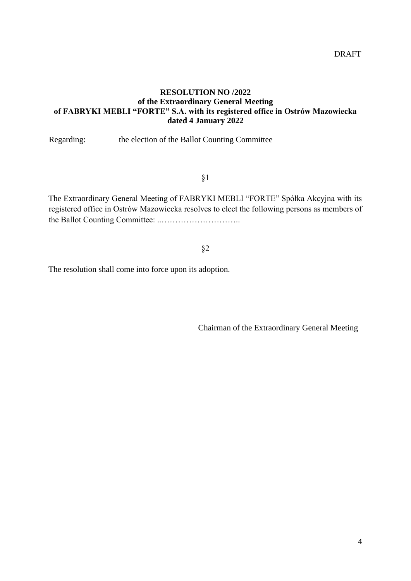### **RESOLUTION NO /2022 of the Extraordinary General Meeting of FABRYKI MEBLI "FORTE" S.A. with its registered office in Ostrów Mazowiecka dated 4 January 2022**

Regarding: the election of the Ballot Counting Committee

§1

The Extraordinary General Meeting of FABRYKI MEBLI "FORTE" Spółka Akcyjna with its registered office in Ostrów Mazowiecka resolves to elect the following persons as members of the Ballot Counting Committee: ..………………………..

#### §2

The resolution shall come into force upon its adoption.